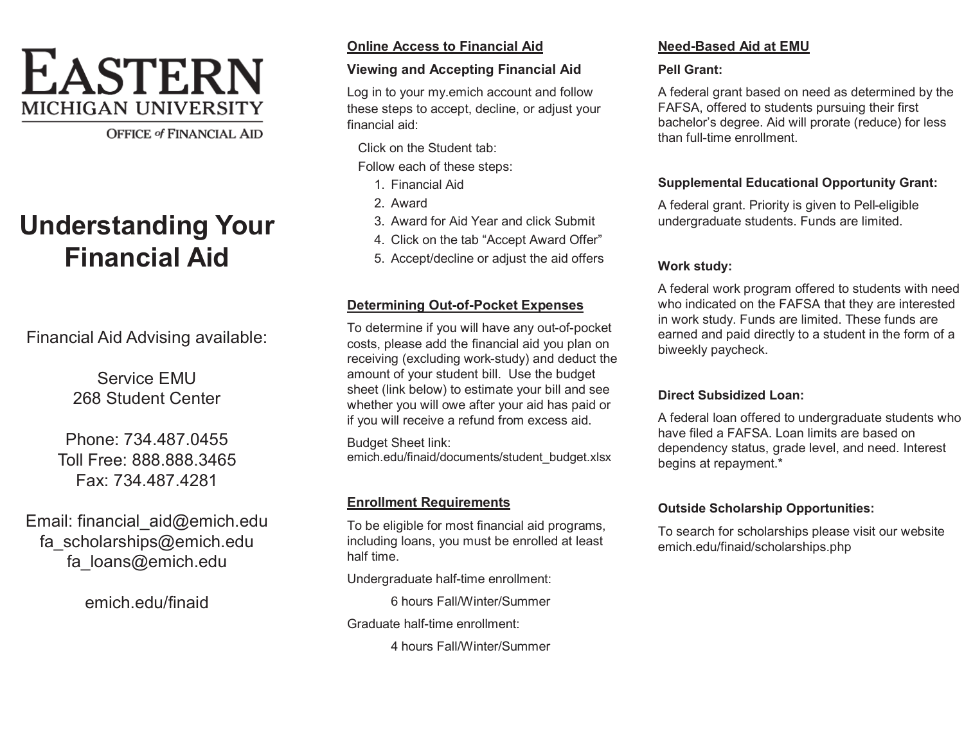# **EASTERN MICHIGAN UNIVERSITY**

**OFFICE of FINANCIAL AID** 

# **Understanding Your Financial Aid**

Financial Aid Advising available:

Service EMU 268 Student Center

Phone: 734.487.0455 Toll Free: 888.888.3465 Fax: 734.487.4281

Email: financial\_aid@emich.edu fa\_scholarships@emich.edu fa\_loans@emich.edu

emich.edu/finaid

# **Online Access to Financial Aid**

## **Viewing and Accepting Financial Aid**

Log in to your my.emich account and follow these steps to accept, decline, or adjust your financial aid:

Click on the Student tab:

Follow each of these steps:

- 1. Financial Aid
- 2. Award
- 3. Award for Aid Year and click Submit
- 4. Click on the tab "Accept Award Offer"
- 5. Accept/decline or adjust the aid offers

# **Determining Out-of-Pocket Expenses**

To determine if you will have any out-of-pocket costs, please add the financial aid you plan on receiving (excluding work-study) and deduct the amount of your student bill. Use the budget sheet (link below) to estimate your bill and see whether you will owe after your aid has paid or if you will receive a refund from excess aid.

Budget Sheet link: emich.edu/finaid/documents/student\_budget.xlsx

# **Enrollment Requirements**

To be eligible for most financial aid programs, including loans, you must be enrolled at least half time.

Undergraduate half-time enrollment:

6 hours Fall/Winter/Summer

Graduate half-time enrollment:

4 hours Fall/Winter/Summer

# **Need-Based Aid at EMU**

# **Pell Grant:**

A federal grant based on need as determined by the FAFSA, offered to students pursuing their first bachelor's degree. Aid will prorate (reduce) for less than full-time enrollment.

# **Supplemental Educational Opportunity Grant:**

A federal grant. Priority is given to Pell-eligible undergraduate students. Funds are limited.

# **Work study:**

A federal work program offered to students with need who indicated on the FAFSA that they are interested in work study. Funds are limited. These funds are earned and paid directly to a student in the form of a biweekly paycheck.

# **Direct Subsidized Loan:**

A federal loan offered to undergraduate students who have filed a FAFSA. Loan limits are based on dependency status, grade level, and need. Interest begins at repayment.\*

# **Outside Scholarship Opportunities:**

To search for scholarships please visit our website emich.edu/finaid/scholarships.php